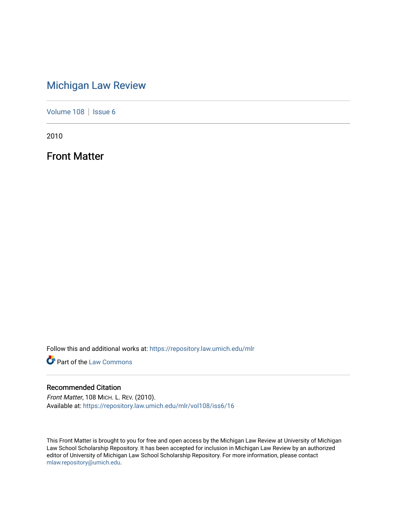# [Michigan Law Review](https://repository.law.umich.edu/mlr)

[Volume 108](https://repository.law.umich.edu/mlr/vol108) | [Issue 6](https://repository.law.umich.edu/mlr/vol108/iss6)

2010

Front Matter

Follow this and additional works at: [https://repository.law.umich.edu/mlr](https://repository.law.umich.edu/mlr?utm_source=repository.law.umich.edu%2Fmlr%2Fvol108%2Fiss6%2F16&utm_medium=PDF&utm_campaign=PDFCoverPages) 

**Part of the [Law Commons](http://network.bepress.com/hgg/discipline/578?utm_source=repository.law.umich.edu%2Fmlr%2Fvol108%2Fiss6%2F16&utm_medium=PDF&utm_campaign=PDFCoverPages)** 

#### Recommended Citation

Front Matter, 108 MICH. L. REV. (2010). Available at: [https://repository.law.umich.edu/mlr/vol108/iss6/16](https://repository.law.umich.edu/mlr/vol108/iss6/16?utm_source=repository.law.umich.edu%2Fmlr%2Fvol108%2Fiss6%2F16&utm_medium=PDF&utm_campaign=PDFCoverPages) 

This Front Matter is brought to you for free and open access by the Michigan Law Review at University of Michigan Law School Scholarship Repository. It has been accepted for inclusion in Michigan Law Review by an authorized editor of University of Michigan Law School Scholarship Repository. For more information, please contact [mlaw.repository@umich.edu.](mailto:mlaw.repository@umich.edu)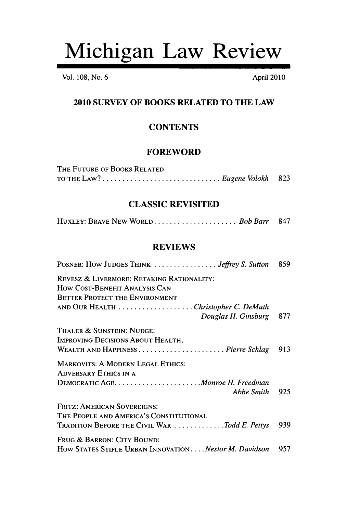# Michigan Law Review

Vol. **108,** No. **6** April 2010

# **2010 SURVEY OF BOOKS RELATED TO THE LAW**

# **CONTENTS**

#### **FOREWORD**

| THE FUTURE OF BOOKS RELATED                                                                                                                                                                                                                                                                                                            |  |
|----------------------------------------------------------------------------------------------------------------------------------------------------------------------------------------------------------------------------------------------------------------------------------------------------------------------------------------|--|
| TO THE LAW? $\ldots$ $\ldots$ $\ldots$ $\ldots$ $\ldots$ $\ldots$ $\ldots$ $\ldots$ $\ldots$ $\ldots$ $\ldots$ $\ldots$ $\ldots$ $\ldots$ $\ldots$ $\ldots$ $\ldots$ $\ldots$ $\ldots$ $\ldots$ $\ldots$ $\ldots$ $\ldots$ $\ldots$ $\ldots$ $\ldots$ $\ldots$ $\ldots$ $\ldots$ $\ldots$ $\ldots$ $\ldots$ $\ldots$ $\ldots$ $\ldots$ |  |

### **CLASSIC REVISITED**

|--|--|

#### **REVIEWS**

| POSNER: HOW JUDGES THINK  Jeffrey S. Sutton                                                                         | 859 |
|---------------------------------------------------------------------------------------------------------------------|-----|
| REVESZ & LIVERMORE: RETAKING RATIONALITY:<br>HOW COST-BENEFIT ANALYSIS CAN<br><b>BETTER PROTECT THE ENVIRONMENT</b> |     |
| AND OUR HEALTH Christopher C. DeMuth<br>Douglas H. Ginsburg                                                         | 877 |
|                                                                                                                     |     |
| Thaler & Sunstein: Nudge:<br>IMPROVING DECISIONS ABOUT HEALTH,                                                      | 913 |
| <b>MARKOVITS: A MODERN LEGAL ETHICS:</b><br>ADVERSARY ETHICS IN A                                                   |     |
|                                                                                                                     |     |
| Abbe Smith                                                                                                          | 925 |
| FRITZ: AMERICAN SOVEREIGNS:<br>The People and America's Constitutional                                              |     |
| TRADITION BEFORE THE CIVIL WAR Todd E. Pettys                                                                       | 939 |
| Frug & Barron: City Bound:                                                                                          |     |
| How STATES STIFLE URBAN INNOVATION Nestor M. Davidson                                                               | 957 |